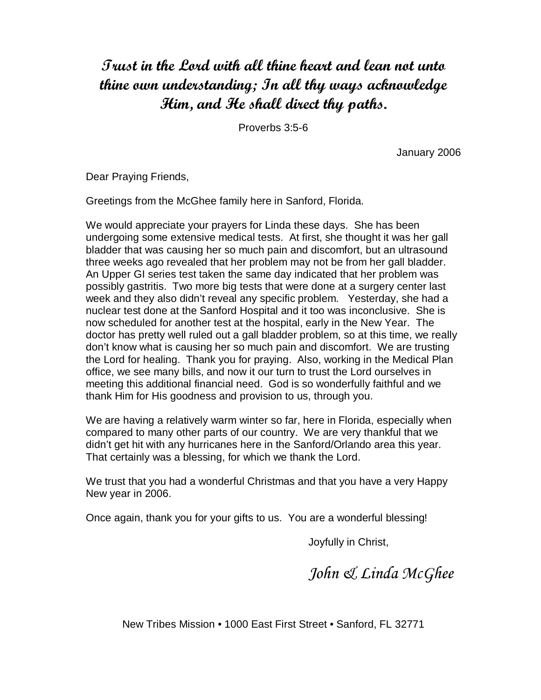## Trust in the Lord with all thine heart and lean not unto thine own understanding; In all thy ways acknowledge Him, and He shall direct thy paths.

Proverbs 3:5-6

January 2006

Dear Praying Friends,

Greetings from the McGhee family here in Sanford, Florida.

We would appreciate your prayers for Linda these days. She has been undergoing some extensive medical tests. At first, she thought it was her gall bladder that was causing her so much pain and discomfort, but an ultrasound three weeks ago revealed that her problem may not be from her gall bladder. An Upper GI series test taken the same day indicated that her problem was possibly gastritis. Two more big tests that were done at a surgery center last week and they also didn't reveal any specific problem. Yesterday, she had a nuclear test done at the Sanford Hospital and it too was inconclusive. She is now scheduled for another test at the hospital, early in the New Year. The doctor has pretty well ruled out a gall bladder problem, so at this time, we really don't know what is causing her so much pain and discomfort. We are trusting the Lord for healing. Thank you for praying. Also, working in the Medical Plan office, we see many bills, and now it our turn to trust the Lord ourselves in meeting this additional financial need. God is so wonderfully faithful and we thank Him for His goodness and provision to us, through you.

We are having a relatively warm winter so far, here in Florida, especially when compared to many other parts of our country. We are very thankful that we didn't get hit with any hurricanes here in the Sanford/Orlando area this year. That certainly was a blessing, for which we thank the Lord.

We trust that you had a wonderful Christmas and that you have a very Happy New year in 2006.

Once again, thank you for your gifts to us. You are a wonderful blessing!

Joyfully in Christ,

John & Linda McGhee

New Tribes Mission • 1000 East First Street • Sanford, FL 32771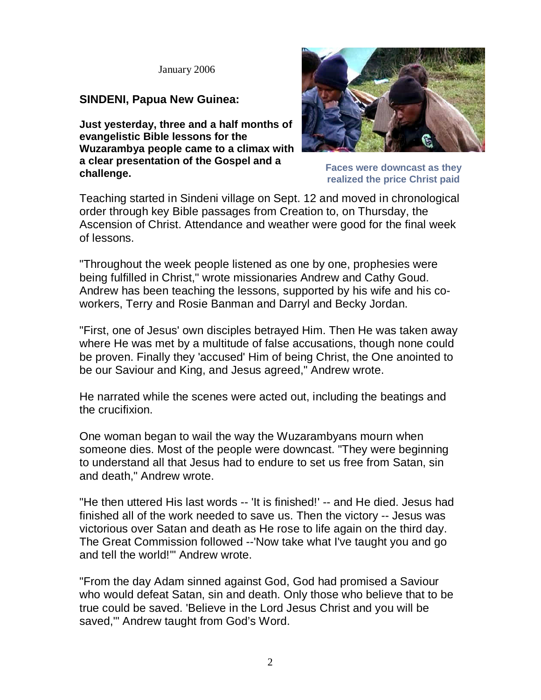January 2006

## **SINDENI, Papua New Guinea:**

**Just yesterday, three and a half months of evangelistic Bible lessons for the Wuzarambya people came to a climax with a clear presentation of the Gospel and a challenge.**



**Faces were downcast as they realized the price Christ paid**

Teaching started in Sindeni village on Sept. 12 and moved in chronological order through key Bible passages from Creation to, on Thursday, the Ascension of Christ. Attendance and weather were good for the final week of lessons.

"Throughout the week people listened as one by one, prophesies were being fulfilled in Christ," wrote missionaries Andrew and Cathy Goud. Andrew has been teaching the lessons, supported by his wife and his coworkers, Terry and Rosie Banman and Darryl and Becky Jordan.

"First, one of Jesus' own disciples betrayed Him. Then He was taken away where He was met by a multitude of false accusations, though none could be proven. Finally they 'accused' Him of being Christ, the One anointed to be our Saviour and King, and Jesus agreed," Andrew wrote.

He narrated while the scenes were acted out, including the beatings and the crucifixion.

One woman began to wail the way the Wuzarambyans mourn when someone dies. Most of the people were downcast. "They were beginning to understand all that Jesus had to endure to set us free from Satan, sin and death," Andrew wrote.

"He then uttered His last words -- 'It is finished!' -- and He died. Jesus had finished all of the work needed to save us. Then the victory -- Jesus was victorious over Satan and death as He rose to life again on the third day. The Great Commission followed --'Now take what I've taught you and go and tell the world!'" Andrew wrote.

"From the day Adam sinned against God, God had promised a Saviour who would defeat Satan, sin and death. Only those who believe that to be true could be saved. 'Believe in the Lord Jesus Christ and you will be saved,'" Andrew taught from God's Word.